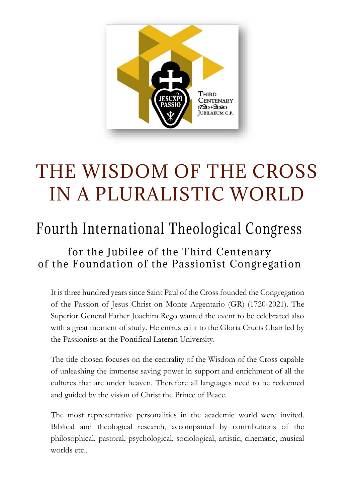

## THE WISDOM OF THE CROSS IN A PLURALISTIC WORLD

## Fourth International Theological Congress

## for the Jubilee of the Third Centenary of the Foundation of the Passionist Congregation

It is three hundred years since Saint Paul of the Cross founded the Congregation of the Passion of Jesus Christ on Monte Argentario (GR) (1720-2021). The Superior General Father Joachim Rego wanted the event to be celebrated also with a great moment of study. He entrusted it to the Gloria Crucis Chair led by the Passionists at the Pontifical Lateran University.

The title chosen focuses on the centrality of the Wisdom of the Cross capable of unleashing the immense saving power in support and enrichment of all the cultures that are under heaven. Therefore all languages need to be redeemed and guided by the vision of Christ the Prince of Peace.

The most representative personalities in the academic world were invited. Biblical and theological research, accompanied by contributions of the philosophical, pastoral, psychological, sociological, artistic, cinematic, musical worlds etc..